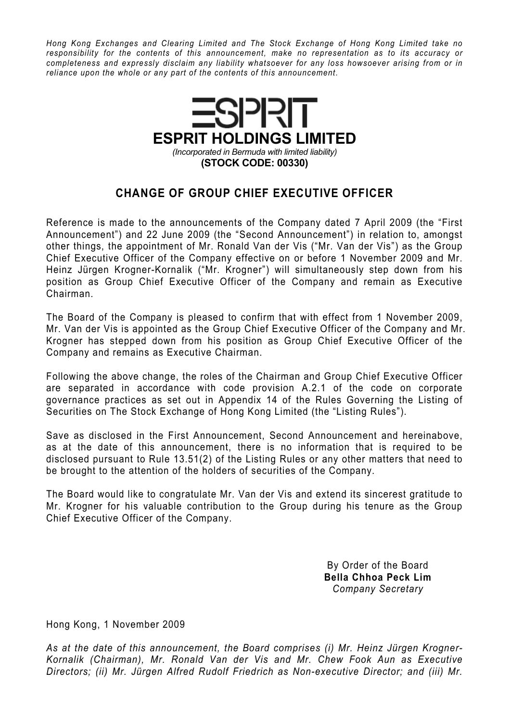Hong Kong Exchanges and Clearing Limited and The Stock Exchange of Hong Kong Limited take no responsibility for the contents of this announcement, make no representation as to its accuracy or completeness and expressly disclaim any liability whatsoever for any loss howsoever arising from or in reliance upon the whole or any part of the contents of this announcement.



## CHANGE OF GROUP CHIEF EXECUTIVE OFFICER

Reference is made to the announcements of the Company dated 7 April 2009 (the "First Announcement") and 22 June 2009 (the "Second Announcement") in relation to, amongst other things, the appointment of Mr. Ronald Van der Vis ("Mr. Van der Vis") as the Group Chief Executive Officer of the Company effective on or before 1 November 2009 and Mr. Heinz Jürgen Krogner-Kornalik ("Mr. Krogner") will simultaneously step down from his position as Group Chief Executive Officer of the Company and remain as Executive Chairman.

The Board of the Company is pleased to confirm that with effect from 1 November 2009, Mr. Van der Vis is appointed as the Group Chief Executive Officer of the Company and Mr. Krogner has stepped down from his position as Group Chief Executive Officer of the Company and remains as Executive Chairman.

Following the above change, the roles of the Chairman and Group Chief Executive Officer are separated in accordance with code provision A.2.1 of the code on corporate governance practices as set out in Appendix 14 of the Rules Governing the Listing of Securities on The Stock Exchange of Hong Kong Limited (the "Listing Rules").

Save as disclosed in the First Announcement, Second Announcement and hereinabove, as at the date of this announcement, there is no information that is required to be disclosed pursuant to Rule 13.51(2) of the Listing Rules or any other matters that need to be brought to the attention of the holders of securities of the Company.

The Board would like to congratulate Mr. Van der Vis and extend its sincerest gratitude to Mr. Krogner for his valuable contribution to the Group during his tenure as the Group Chief Executive Officer of the Company.

> By Order of the Board Bella Chhoa Peck Lim Company Secretary

Hong Kong, 1 November 2009

As at the date of this announcement, the Board comprises (i) Mr. Heinz Jürgen Krogner-Kornalik (Chairman), Mr. Ronald Van der Vis and Mr. Chew Fook Aun as Executive Directors; (ii) Mr. Jürgen Alfred Rudolf Friedrich as Non-executive Director; and (iii) Mr.